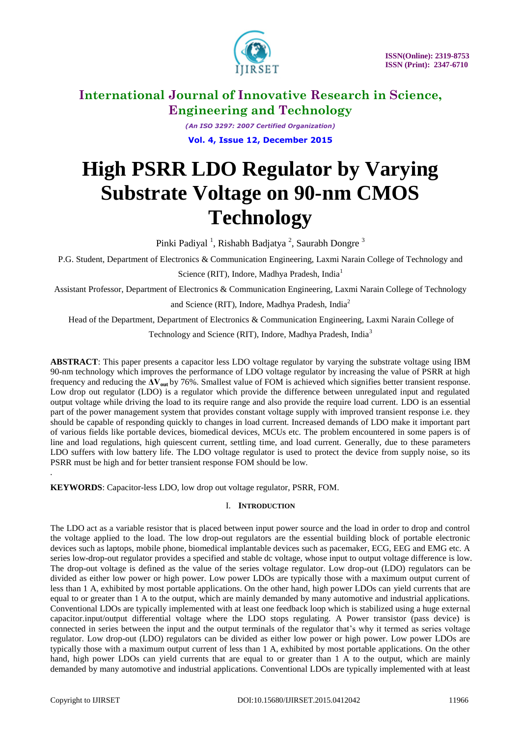

*(An ISO 3297: 2007 Certified Organization)* **Vol. 4, Issue 12, December 2015**

# **High PSRR LDO Regulator by Varying Substrate Voltage on 90-nm CMOS Technology**

Pinki Padiyal<sup>1</sup>, Rishabh Badjatya<sup>2</sup>, Saurabh Dongre<sup>3</sup>

P.G. Student, Department of Electronics & Communication Engineering, Laxmi Narain College of Technology and

Science (RIT), Indore, Madhya Pradesh, India<sup>1</sup>

Assistant Professor, Department of Electronics & Communication Engineering, Laxmi Narain College of Technology

and Science (RIT), Indore, Madhya Pradesh, India<sup>2</sup>

Head of the Department, Department of Electronics & Communication Engineering, Laxmi Narain College of

Technology and Science (RIT), Indore, Madhya Pradesh, India<sup>3</sup>

**ABSTRACT**: This paper presents a capacitor less LDO voltage regulator by varying the substrate voltage using IBM 90-nm technology which improves the performance of LDO voltage regulator by increasing the value of PSRR at high frequency and reducing the **ΔVout** by 76%. Smallest value of FOM is achieved which signifies better transient response. Low drop out regulator (LDO) is a regulator which provide the difference between unregulated input and regulated output voltage while driving the load to its require range and also provide the require load current. LDO is an essential part of the power management system that provides constant voltage supply with improved transient response i.e. they should be capable of responding quickly to changes in load current. Increased demands of LDO make it important part of various fields like portable devices, biomedical devices, MCUs etc. The problem encountered in some papers is of line and load regulations, high quiescent current, settling time, and load current. Generally, due to these parameters LDO suffers with low battery life. The LDO voltage regulator is used to protect the device from supply noise, so its PSRR must be high and for better transient response FOM should be low.

**KEYWORDS**: Capacitor-less LDO, low drop out voltage regulator, PSRR, FOM.

#### I. **INTRODUCTION**

The LDO act as a variable resistor that is placed between input power source and the load in order to drop and control the voltage applied to the load. The low drop-out regulators are the essential building block of portable electronic devices such as laptops, mobile phone, biomedical implantable devices such as pacemaker, ECG, EEG and EMG etc. A series low-drop-out regulator provides a specified and stable dc voltage, whose input to output voltage difference is low. The drop-out voltage is defined as the value of the series voltage regulator. Low drop-out (LDO) regulators can be divided as either low power or high power. Low power LDOs are typically those with a maximum output current of less than 1 A, exhibited by most portable applications. On the other hand, high power LDOs can yield currents that are equal to or greater than 1 A to the output, which are mainly demanded by many automotive and industrial applications. Conventional LDOs are typically implemented with at least one feedback loop which is stabilized using a huge external capacitor.input/output differential voltage where the LDO stops regulating. A Power transistor (pass device) is connected in series between the input and the output terminals of the regulator that's why it termed as series voltage regulator. Low drop-out (LDO) regulators can be divided as either low power or high power. Low power LDOs are typically those with a maximum output current of less than 1 A, exhibited by most portable applications. On the other hand, high power LDOs can yield currents that are equal to or greater than 1 A to the output, which are mainly demanded by many automotive and industrial applications. Conventional LDOs are typically implemented with at least

*.*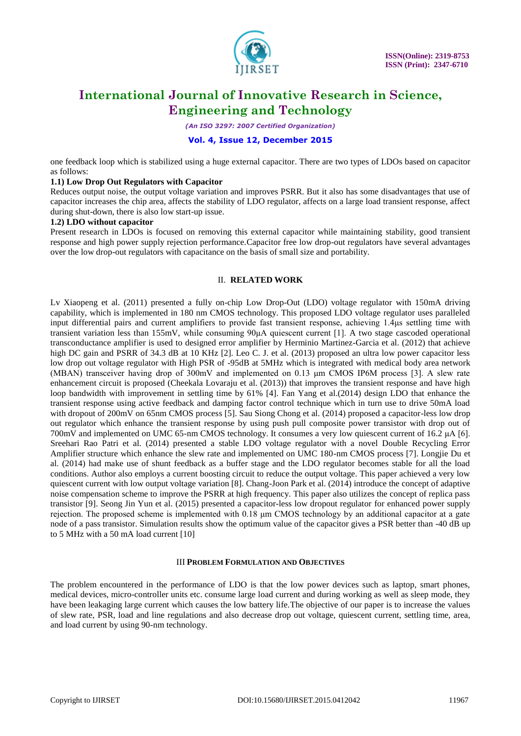

*(An ISO 3297: 2007 Certified Organization)*

#### **Vol. 4, Issue 12, December 2015**

one feedback loop which is stabilized using a huge external capacitor. There are two types of LDOs based on capacitor as follows:

#### **1.1) Low Drop Out Regulators with Capacitor**

Reduces output noise, the output voltage variation and improves PSRR. But it also has some disadvantages that use of capacitor increases the chip area, affects the stability of LDO regulator, affects on a large load transient response, affect during shut-down, there is also low start-up issue.

#### **1.2) LDO without capacitor**

Present research in LDOs is focused on removing this external capacitor while maintaining stability, good transient response and high power supply rejection performance.Capacitor free low drop-out regulators have several advantages over the low drop-out regulators with capacitance on the basis of small size and portability.

#### II. **RELATED WORK**

Lv Xiaopeng et al. (2011) presented a fully on-chip Low Drop-Out (LDO) voltage regulator with 150mA driving capability, which is implemented in 180 nm CMOS technology. This proposed LDO voltage regulator uses paralleled input differential pairs and current amplifiers to provide fast transient response, achieving 1.4μs settling time with transient variation less than 155mV, while consuming 90μA quiescent current [1]. A two stage cascoded operational transconductance amplifier is used to designed error amplifier by Herminio Martinez-Garcia et al. (2012) that achieve high DC gain and PSRR of 34.3 dB at 10 KHz [2]. Leo C. J. et al. (2013) proposed an ultra low power capacitor less low drop out voltage regulator with High PSR of -95dB at 5MHz which is integrated with medical body area network (MBAN) transceiver having drop of 300mV and implemented on 0.13 μm CMOS IP6M process [3]. A slew rate enhancement circuit is proposed (Cheekala Lovaraju et al. (2013)) that improves the transient response and have high loop bandwidth with improvement in settling time by 61% [4]. Fan Yang et al.(2014) design LDO that enhance the transient response using active feedback and damping factor control technique which in turn use to drive 50mA load with dropout of 200mV on 65nm CMOS process [5]. Sau Siong Chong et al. (2014) proposed a capacitor-less low drop out regulator which enhance the transient response by using push pull composite power transistor with drop out of 700mV and implemented on UMC 65-nm CMOS technology. It consumes a very low quiescent current of 16.2 μA [6]. Sreehari Rao Patri et al. (2014) presented a stable LDO voltage regulator with a novel Double Recycling Error Amplifier structure which enhance the slew rate and implemented on UMC 180-nm CMOS process [7]. Longjie Du et al. (2014) had make use of shunt feedback as a buffer stage and the LDO regulator becomes stable for all the load conditions. Author also employs a current boosting circuit to reduce the output voltage. This paper achieved a very low quiescent current with low output voltage variation [8]. Chang-Joon Park et al. (2014) introduce the concept of adaptive noise compensation scheme to improve the PSRR at high frequency. This paper also utilizes the concept of replica pass transistor [9]. Seong Jin Yun et al. (2015) presented a capacitor-less low dropout regulator for enhanced power supply rejection. The proposed scheme is implemented with 0.18 μm CMOS technology by an additional capacitor at a gate node of a pass transistor. Simulation results show the optimum value of the capacitor gives a PSR better than -40 dB up to 5 MHz with a 50 mA load current [10]

#### III **PROBLEM FORMULATION AND OBJECTIVES**

The problem encountered in the performance of LDO is that the low power devices such as laptop, smart phones, medical devices, micro-controller units etc. consume large load current and during working as well as sleep mode, they have been leakaging large current which causes the low battery life.The objective of our paper is to increase the values of slew rate, PSR, load and line regulations and also decrease drop out voltage, quiescent current, settling time, area, and load current by using 90-nm technology.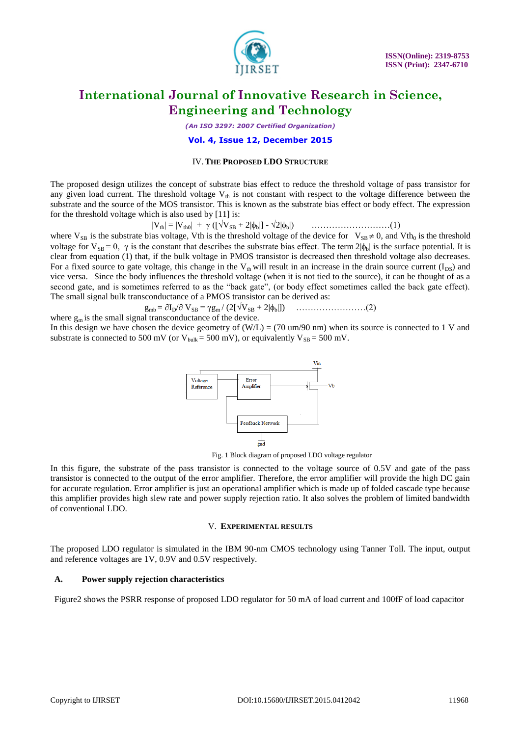

*(An ISO 3297: 2007 Certified Organization)*

**Vol. 4, Issue 12, December 2015**

#### IV.**THE PROPOSED LDO STRUCTURE**

The proposed design utilizes the concept of substrate bias effect to reduce the threshold voltage of pass transistor for any given load current. The threshold voltage  $V_{th}$  is not constant with respect to the voltage difference between the substrate and the source of the MOS transistor. This is known as the substrate bias effect or body effect. The expression for the threshold voltage which is also used by [11] is:

|Vth| = |Vth0| + γ ([VSB + 2|b|] - 2|b|) ………………………(1)

where  $V_{SB}$  is the substrate bias voltage, Vth is the threshold voltage of the device for  $V_{SB} \neq 0$ , and Vth<sub>0</sub> is the threshold voltage for  $V_{SB} = 0$ ,  $\gamma$  is the constant that describes the substrate bias effect. The term  $2|\phi_b|$  is the surface potential. It is clear from equation (1) that, if the bulk voltage in PMOS transistor is decreased then threshold voltage also decreases. For a fixed source to gate voltage, this change in the  $V_{th}$  will result in an increase in the drain source current ( $I_{DS}$ ) and vice versa. Since the body influences the threshold voltage (when it is not tied to the source), it can be thought of as a second gate, and is sometimes referred to as the "back gate", (or body effect sometimes called the back gate effect). The small signal bulk transconductance of a PMOS transistor can be derived as:

gmb = ID/ VSB = γgm / (2[VSB + 2|b|]) ……………………(2)

where  $g_m$  is the small signal transconductance of the device. In this design we have chosen the device geometry of  $(W/L) = (70 \text{ um}/90 \text{ nm})$  when its source is connected to 1 V and substrate is connected to 500 mV (or  $V_{bulk} = 500$  mV), or equivalently  $V_{SB} = 500$  mV.



Fig. 1 Block diagram of proposed LDO voltage regulator

In this figure, the substrate of the pass transistor is connected to the voltage source of 0.5V and gate of the pass transistor is connected to the output of the error amplifier. Therefore, the error amplifier will provide the high DC gain for accurate regulation. Error amplifier is just an operational amplifier which is made up of folded cascade type because this amplifier provides high slew rate and power supply rejection ratio. It also solves the problem of limited bandwidth of conventional LDO.

#### V. **EXPERIMENTAL RESULTS**

The proposed LDO regulator is simulated in the IBM 90-nm CMOS technology using Tanner Toll. The input, output and reference voltages are 1V, 0.9V and 0.5V respectively.

#### **A. Power supply rejection characteristics**

Figure2 shows the PSRR response of proposed LDO regulator for 50 mA of load current and 100fF of load capacitor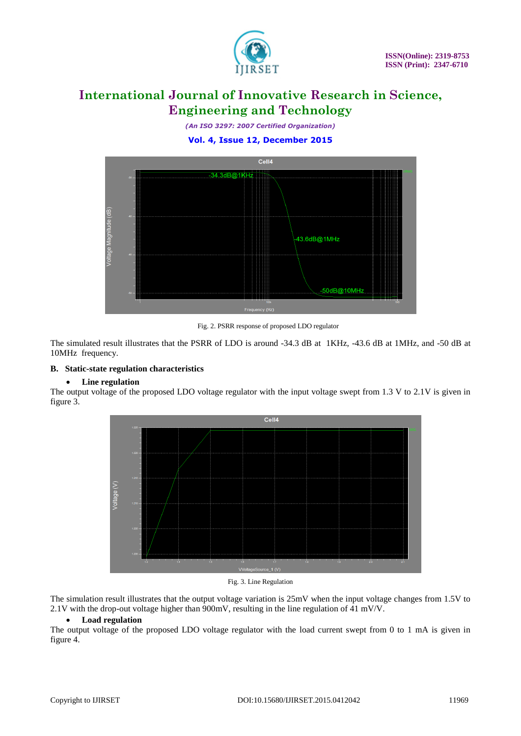

*(An ISO 3297: 2007 Certified Organization)* **Vol. 4, Issue 12, December 2015**



Fig. 2. PSRR response of proposed LDO regulator

The simulated result illustrates that the PSRR of LDO is around -34.3 dB at 1KHz, -43.6 dB at 1MHz, and -50 dB at 10MHz frequency.

#### **B. Static-state regulation characteristics**

#### **Line regulation**

The output voltage of the proposed LDO voltage regulator with the input voltage swept from 1.3 V to 2.1V is given in figure 3.



Fig. 3. Line Regulation

The simulation result illustrates that the output voltage variation is 25mV when the input voltage changes from 1.5V to 2.1V with the drop-out voltage higher than 900mV, resulting in the line regulation of 41 mV/V.

#### **Load regulation**

The output voltage of the proposed LDO voltage regulator with the load current swept from 0 to 1 mA is given in figure 4.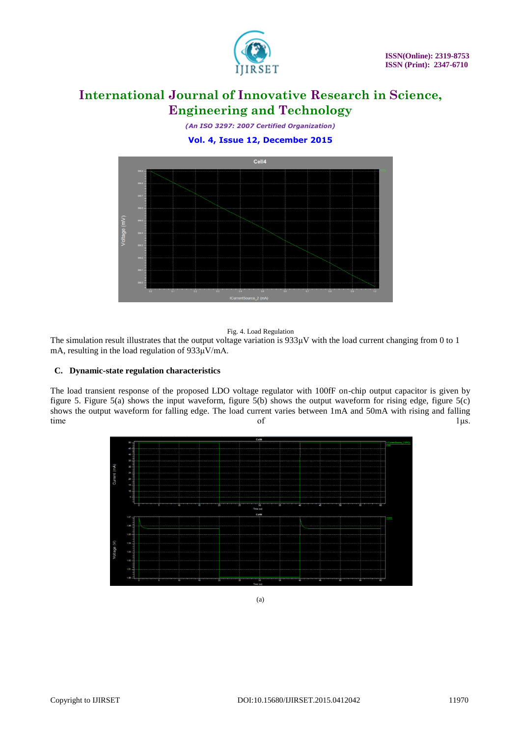

*(An ISO 3297: 2007 Certified Organization)* **Vol. 4, Issue 12, December 2015**



#### Fig. 4. Load Regulation

The simulation result illustrates that the output voltage variation is 933μV with the load current changing from 0 to 1 mA, resulting in the load regulation of 933μV/mA.

#### **C. Dynamic-state regulation characteristics**

The load transient response of the proposed LDO voltage regulator with 100fF on-chip output capacitor is given by figure 5. Figure 5(a) shows the input waveform, figure 5(b) shows the output waveform for rising edge, figure 5(c) shows the output waveform for falling edge. The load current varies between 1mA and 50mA with rising and falling time of 1 μs.

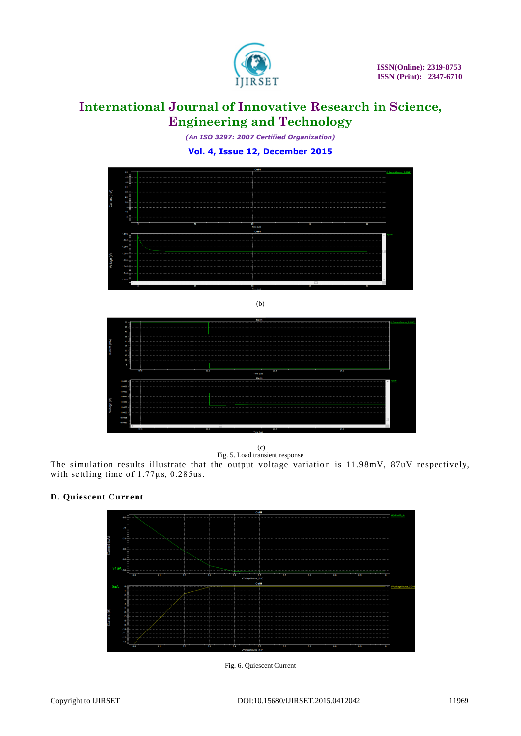

*(An ISO 3297: 2007 Certified Organization)* **Vol. 4, Issue 12, December 2015**



(b)



(c) Fig. 5. Load transient response

The simulation results illustrate that the output voltage variation is 11.98mV, 87uV respectively, with settling time of 1.77μs, 0.285us*.*

#### **D. Quiescent Current**



Fig. 6. Quiescent Current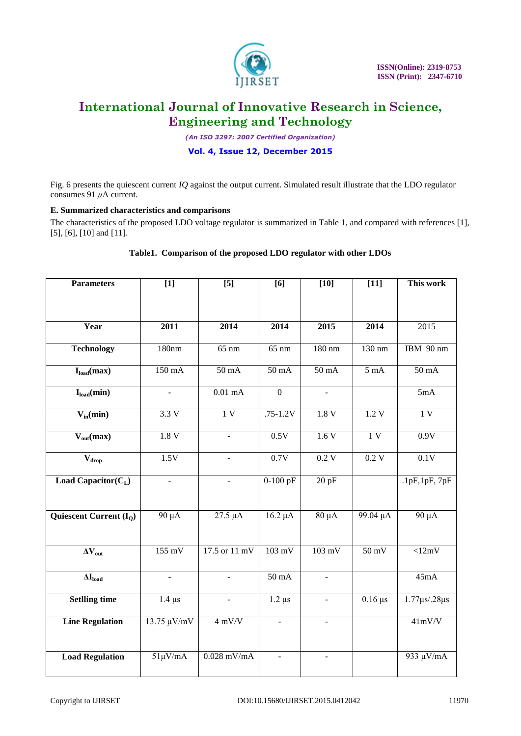

*(An ISO 3297: 2007 Certified Organization)*

#### **Vol. 4, Issue 12, December 2015**

Fig. 6 presents the quiescent current *IQ* against the output current. Simulated result illustrate that the LDO regulator consumes 91 *μ*A current.

#### **E. Summarized characteristics and comparisons**

The characteristics of the proposed LDO voltage regulator is summarized in Table 1, and compared with references [1], [5], [6], [10] and [11].

| <b>Parameters</b>                     | $[1]$                    | $[5]$                    | [6]                      | $[10]$                   | $[11]$          | This work                 |
|---------------------------------------|--------------------------|--------------------------|--------------------------|--------------------------|-----------------|---------------------------|
|                                       |                          |                          |                          |                          |                 |                           |
|                                       |                          |                          |                          |                          |                 |                           |
| Year                                  | 2011                     | 2014                     | 2014                     | 2015                     | 2014            | 2015                      |
| <b>Technology</b>                     | 180nm                    | $65$ nm                  | $65$ nm                  | 180 nm                   | 130 nm          | IBM 90 nm                 |
|                                       |                          |                          |                          |                          |                 |                           |
| $I_{load}(max)$                       | $150 \text{ mA}$         | $50 \text{ mA}$          | $50 \text{ mA}$          | $50 \text{ mA}$          | $5 \text{ mA}$  | $50 \text{ mA}$           |
| $I_{load}(min)$                       |                          | $0.01$ mA                | $\overline{0}$           | $\overline{\phantom{0}}$ |                 | 5mA                       |
| $V_{in}(min)$                         | 3.3V                     | $\overline{1V}$          | $.75 - 1.2V$             | 1.8V                     | 1.2V            | 1V                        |
| $\overline{V_{out}(max)}$             | 1.8V                     |                          | 0.5V                     | 1.6V                     | 1V              | 0.9V                      |
| $\overline{\mathbf{V}}_{\text{drop}}$ | 1.5V                     | $\overline{\phantom{a}}$ | 0.7V                     | 0.2V                     | 0.2V            | 0.1V                      |
| <b>Load Capacitor(C<sub>L</sub></b> ) | $\blacksquare$           | $\Box$                   | $0-100$ pF               | 20pF                     |                 | .1pF, 1pF, 7pF            |
|                                       |                          |                          |                          |                          |                 |                           |
| Quiescent Current $(I_0)$             | 90 μA                    | 27.5 µA                  | $16.2 \mu A$             | $80 \mu A$               | 99.04 µA        | $90 \mu A$                |
|                                       |                          |                          |                          |                          |                 |                           |
| $\overline{\Delta V_{out}}$           | $155$ mV                 | 17.5 or 11 mV            | $103 \text{ mV}$         | $103 \text{ mV}$         | $50 \text{ mV}$ | $\overline{\langle 12mV}$ |
| $\Delta I_{load}$                     | $\overline{\phantom{a}}$ | $\equiv$                 | 50 mA                    | $\overline{\phantom{a}}$ |                 | 45mA                      |
| <b>Setlling time</b>                  | $1.4 \mu s$              | $\overline{a}$           | $1.2 \mu s$              | $\equiv$                 | $0.16 \,\mu s$  | $1.77 \mu s$ /.28 $\mu s$ |
| <b>Line Regulation</b>                | $13.75 \mu V/mV$         | $4$ mV/V                 | $\overline{\phantom{a}}$ | $\overline{\phantom{0}}$ |                 | 41mV/V                    |
|                                       |                          |                          |                          |                          |                 |                           |
| <b>Load Regulation</b>                | $51 \mu V$ /mA           | $0.028$ mV/mA            | ÷,                       | $\blacksquare$           |                 | 933 µV/mA                 |

#### **Table1. Comparison of the proposed LDO regulator with other LDOs**